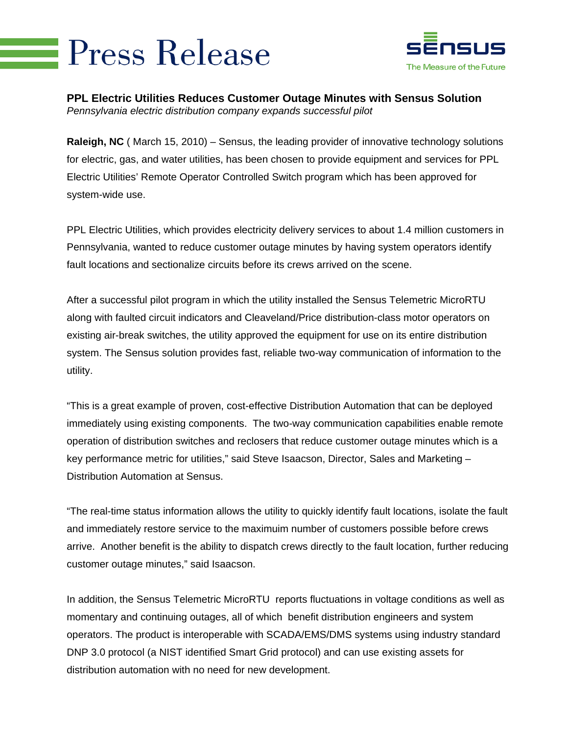## **Press Release**



**PPL Electric Utilities Reduces Customer Outage Minutes with Sensus Solution**  *Pennsylvania electric distribution company expands successful pilot* 

**Raleigh, NC** ( March 15, 2010) – Sensus, the leading provider of innovative technology solutions for electric, gas, and water utilities, has been chosen to provide equipment and services for PPL Electric Utilities' Remote Operator Controlled Switch program which has been approved for system-wide use.

PPL Electric Utilities, which provides electricity delivery services to about 1.4 million customers in Pennsylvania, wanted to reduce customer outage minutes by having system operators identify fault locations and sectionalize circuits before its crews arrived on the scene.

After a successful pilot program in which the utility installed the Sensus Telemetric MicroRTU along with faulted circuit indicators and Cleaveland/Price distribution-class motor operators on existing air-break switches, the utility approved the equipment for use on its entire distribution system. The Sensus solution provides fast, reliable two-way communication of information to the utility.

"This is a great example of proven, cost-effective Distribution Automation that can be deployed immediately using existing components. The two-way communication capabilities enable remote operation of distribution switches and reclosers that reduce customer outage minutes which is a key performance metric for utilities," said Steve Isaacson, Director, Sales and Marketing – Distribution Automation at Sensus.

"The real-time status information allows the utility to quickly identify fault locations, isolate the fault and immediately restore service to the maximuim number of customers possible before crews arrive. Another benefit is the ability to dispatch crews directly to the fault location, further reducing customer outage minutes," said Isaacson.

In addition, the Sensus Telemetric MicroRTU reports fluctuations in voltage conditions as well as momentary and continuing outages, all of which benefit distribution engineers and system operators. The product is interoperable with SCADA/EMS/DMS systems using industry standard DNP 3.0 protocol (a NIST identified Smart Grid protocol) and can use existing assets for distribution automation with no need for new development.